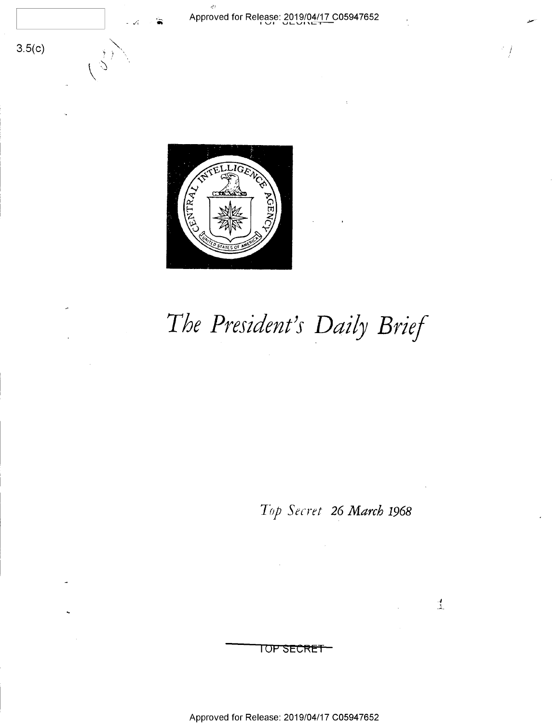



راج

## The President's Daily Brief

Top Secret 26 March 1968

 $\mathbb{R}^d$ 

## TOP SECRET

Approved for Release: 2019/04/17 C05947652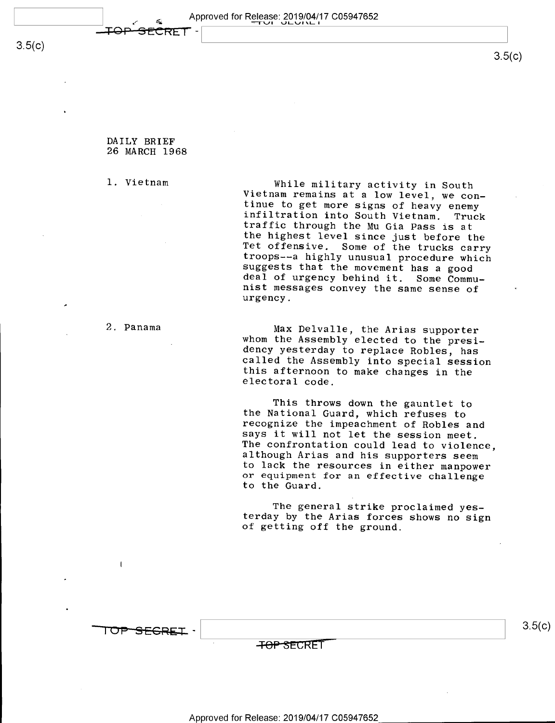$3.5(c)$ 

DAILY BRIEF 26 MARCH 1968  $\blacksquare$ 

CRET

1. Vietnam While military activity in South<br>Vietnam remains at a low level, we con-<br>tinue to get more signs of heavy enemy<br>infiltration into South Vietnam. Truck<br>traffic through the Mu Gia Pass is at<br>the highest level sinc

2. Panama Max Delvalle, the Arias supporter<br>whom the Assembly elected to the presi-<br>dency yesterday to replace Robles, has<br>called the Assembly into special session<br>this afternoon to make changes in the<br>electoral code.

This throws down the gauntlet to<br>the National Guard, which refuses to<br>recognize the impeachment of Robles and<br>says it will not let the session meet.<br>The confrontation could lead to violence,<br>although Arias and his supporte or equipment for an effective challenge to the Guard.

The general strike proclaimed yes- terday by the Arias forces shows no sign of getting off the ground.

 $\overline{\phantom{a}}$  . The contract of the contract of the contract of the contract of the contract of the contract of the contract of the contract of the contract of the contract of the contract of the contract of the contract of

**SFGREI** 

TOP SECRET

 $3.5(c)$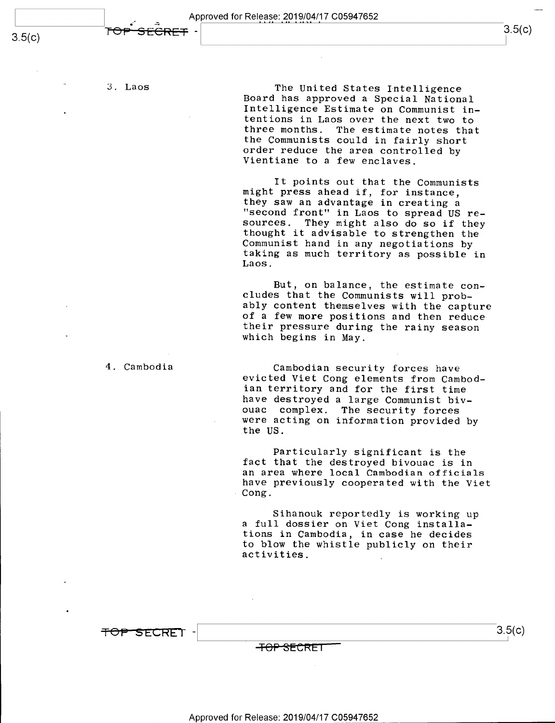$s.5(6)$ 

3. Laos

The United States Intelligence<br>Board has approved a Special National<br>Intelligence Estimate on Communist in-<br>tentions in Laos over the next two to<br>three months. The estimate notes that<br>the Communists could in fairly short<br>o

-  $\sim$  3.5(c)

It points out that the Communists<br>might press ahead if, for instance,<br>they saw an advantage in creating a "second front" in Laos to spread US re-<br>sources. They might also do so if they<br>thought it advisable to strengthen the<br>Communist hand in any negotiations by<br>taking as much territory as possible in<br>Laos.

But, on balance, the estimate con-<br>cludes that the Communists will prob-<br>ably content themselves with the capture<br>of a few more positions and then reduce<br>their pressure during the rainy season<br>which begins in May.

Cambodian security forces have<br>evicted Viet Cong elements from Cambod-<br>ian territory and for the first time<br>have destroyed a large Communist biv-<br>ouac complex. The security forces<br>were acting on information provided by<br>the

Particularly significant is the fact that the destroyed bivouac is in<br>an area where local Cambodian officials have previously cooperated with the Viet Cong.

Sihanouk reportedly is working up a full dossier on Viet Cong installations in Cambodia, in case he decides to blow the whistle publicly on their activities. ,

=1=o-P—s'EcRE'r 3-§5(°)

 $\bullet$ 

4. Cambodia

<del>TOP SECRET</del>